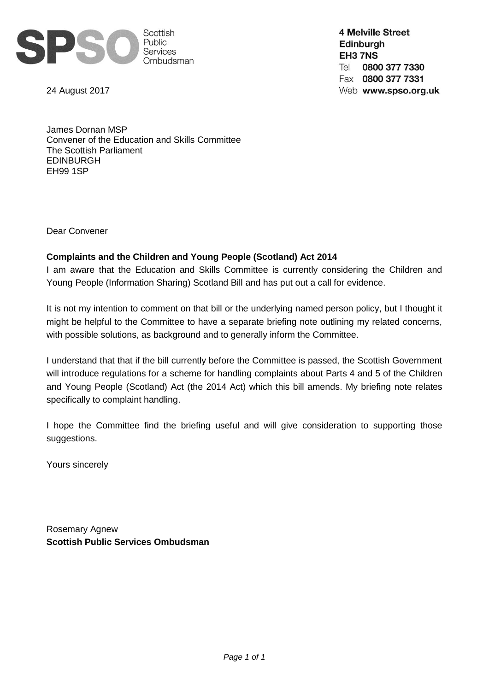

24 August 2017

**4 Melville Street Edinburgh** EH3 7NS Tel 0800 377 7330 Fax 0800 377 7331 Web www.spso.org.uk

James Dornan MSP Convener of the Education and Skills Committee The Scottish Parliament EDINBURGH EH99 1SP

Dear Convener

### **Complaints and the Children and Young People (Scotland) Act 2014**

I am aware that the Education and Skills Committee is currently considering the Children and Young People (Information Sharing) Scotland Bill and has put out a call for evidence.

It is not my intention to comment on that bill or the underlying named person policy, but I thought it might be helpful to the Committee to have a separate briefing note outlining my related concerns, with possible solutions, as background and to generally inform the Committee.

I understand that that if the bill currently before the Committee is passed, the Scottish Government will introduce regulations for a scheme for handling complaints about Parts 4 and 5 of the Children and Young People (Scotland) Act (the 2014 Act) which this bill amends. My briefing note relates specifically to complaint handling.

I hope the Committee find the briefing useful and will give consideration to supporting those suggestions.

Yours sincerely

Rosemary Agnew **Scottish Public Services Ombudsman**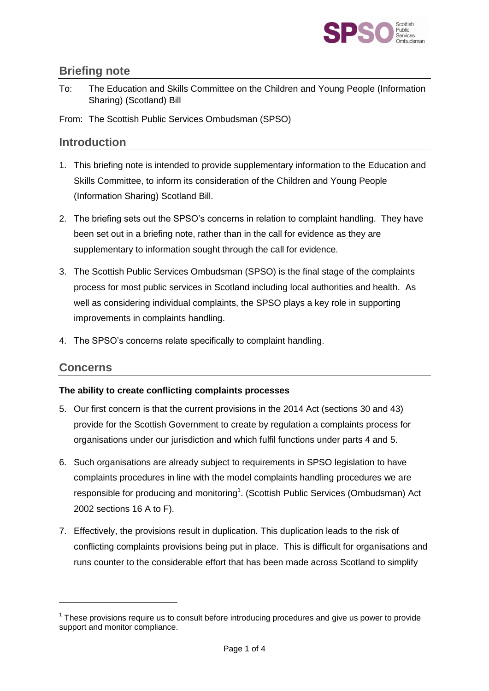

## **Briefing note**

To: The Education and Skills Committee on the Children and Young People (Information Sharing) (Scotland) Bill

From: The Scottish Public Services Ombudsman (SPSO)

## **Introduction**

- 1. This briefing note is intended to provide supplementary information to the Education and Skills Committee, to inform its consideration of the Children and Young People (Information Sharing) Scotland Bill.
- 2. The briefing sets out the SPSO's concerns in relation to complaint handling. They have been set out in a briefing note, rather than in the call for evidence as they are supplementary to information sought through the call for evidence.
- 3. The Scottish Public Services Ombudsman (SPSO) is the final stage of the complaints process for most public services in Scotland including local authorities and health. As well as considering individual complaints, the SPSO plays a key role in supporting improvements in complaints handling.
- 4. The SPSO's concerns relate specifically to complaint handling.

### **Concerns**

-

#### **The ability to create conflicting complaints processes**

- 5. Our first concern is that the current provisions in the 2014 Act (sections 30 and 43) provide for the Scottish Government to create by regulation a complaints process for organisations under our jurisdiction and which fulfil functions under parts 4 and 5.
- 6. Such organisations are already subject to requirements in SPSO legislation to have complaints procedures in line with the model complaints handling procedures we are responsible for producing and monitoring<sup>1</sup>. (Scottish Public Services (Ombudsman) Act 2002 sections 16 A to F).
- 7. Effectively, the provisions result in duplication. This duplication leads to the risk of conflicting complaints provisions being put in place. This is difficult for organisations and runs counter to the considerable effort that has been made across Scotland to simplify

 $1$  These provisions require us to consult before introducing procedures and give us power to provide support and monitor compliance.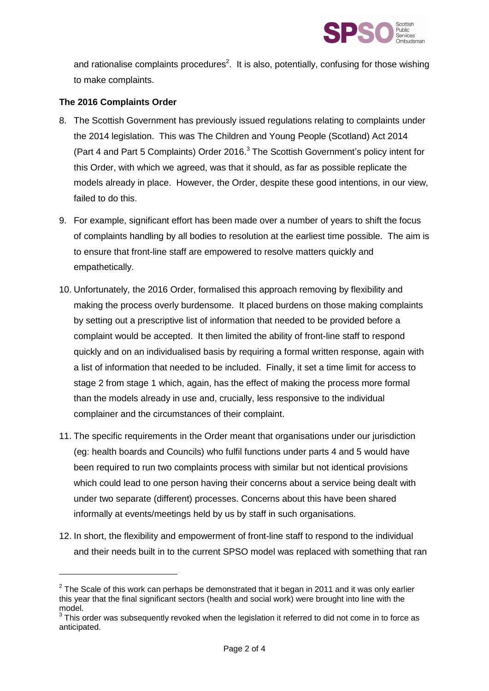

and rationalise complaints procedures<sup>2</sup>. It is also, potentially, confusing for those wishing to make complaints.

#### **The 2016 Complaints Order**

-

- 8. The Scottish Government has previously issued regulations relating to complaints under the 2014 legislation. This was The Children and Young People (Scotland) Act 2014 (Part 4 and Part 5 Complaints) Order 2016.<sup>3</sup> The Scottish Government's policy intent for this Order, with which we agreed, was that it should, as far as possible replicate the models already in place. However, the Order, despite these good intentions, in our view, failed to do this.
- 9. For example, significant effort has been made over a number of years to shift the focus of complaints handling by all bodies to resolution at the earliest time possible. The aim is to ensure that front-line staff are empowered to resolve matters quickly and empathetically.
- 10. Unfortunately, the 2016 Order, formalised this approach removing by flexibility and making the process overly burdensome. It placed burdens on those making complaints by setting out a prescriptive list of information that needed to be provided before a complaint would be accepted. It then limited the ability of front-line staff to respond quickly and on an individualised basis by requiring a formal written response, again with a list of information that needed to be included. Finally, it set a time limit for access to stage 2 from stage 1 which, again, has the effect of making the process more formal than the models already in use and, crucially, less responsive to the individual complainer and the circumstances of their complaint.
- 11. The specific requirements in the Order meant that organisations under our jurisdiction (eg: health boards and Councils) who fulfil functions under parts 4 and 5 would have been required to run two complaints process with similar but not identical provisions which could lead to one person having their concerns about a service being dealt with under two separate (different) processes. Concerns about this have been shared informally at events/meetings held by us by staff in such organisations.
- 12. In short, the flexibility and empowerment of front-line staff to respond to the individual and their needs built in to the current SPSO model was replaced with something that ran

 $2$  The Scale of this work can perhaps be demonstrated that it began in 2011 and it was only earlier this year that the final significant sectors (health and social work) were brought into line with the model.

 $3$  This order was subsequently revoked when the legislation it referred to did not come in to force as anticipated.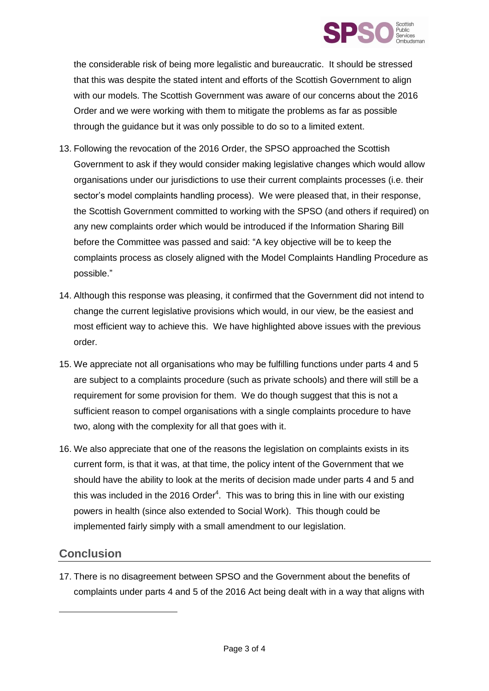

the considerable risk of being more legalistic and bureaucratic. It should be stressed that this was despite the stated intent and efforts of the Scottish Government to align with our models. The Scottish Government was aware of our concerns about the 2016 Order and we were working with them to mitigate the problems as far as possible through the guidance but it was only possible to do so to a limited extent.

- 13. Following the revocation of the 2016 Order, the SPSO approached the Scottish Government to ask if they would consider making legislative changes which would allow organisations under our jurisdictions to use their current complaints processes (i.e. their sector's model complaints handling process). We were pleased that, in their response, the Scottish Government committed to working with the SPSO (and others if required) on any new complaints order which would be introduced if the Information Sharing Bill before the Committee was passed and said: "A key objective will be to keep the complaints process as closely aligned with the Model Complaints Handling Procedure as possible."
- 14. Although this response was pleasing, it confirmed that the Government did not intend to change the current legislative provisions which would, in our view, be the easiest and most efficient way to achieve this. We have highlighted above issues with the previous order.
- 15. We appreciate not all organisations who may be fulfilling functions under parts 4 and 5 are subject to a complaints procedure (such as private schools) and there will still be a requirement for some provision for them. We do though suggest that this is not a sufficient reason to compel organisations with a single complaints procedure to have two, along with the complexity for all that goes with it.
- 16. We also appreciate that one of the reasons the legislation on complaints exists in its current form, is that it was, at that time, the policy intent of the Government that we should have the ability to look at the merits of decision made under parts 4 and 5 and this was included in the 2016 Order<sup>4</sup>. This was to bring this in line with our existing powers in health (since also extended to Social Work). This though could be implemented fairly simply with a small amendment to our legislation.

# **Conclusion**

-

17. There is no disagreement between SPSO and the Government about the benefits of complaints under parts 4 and 5 of the 2016 Act being dealt with in a way that aligns with